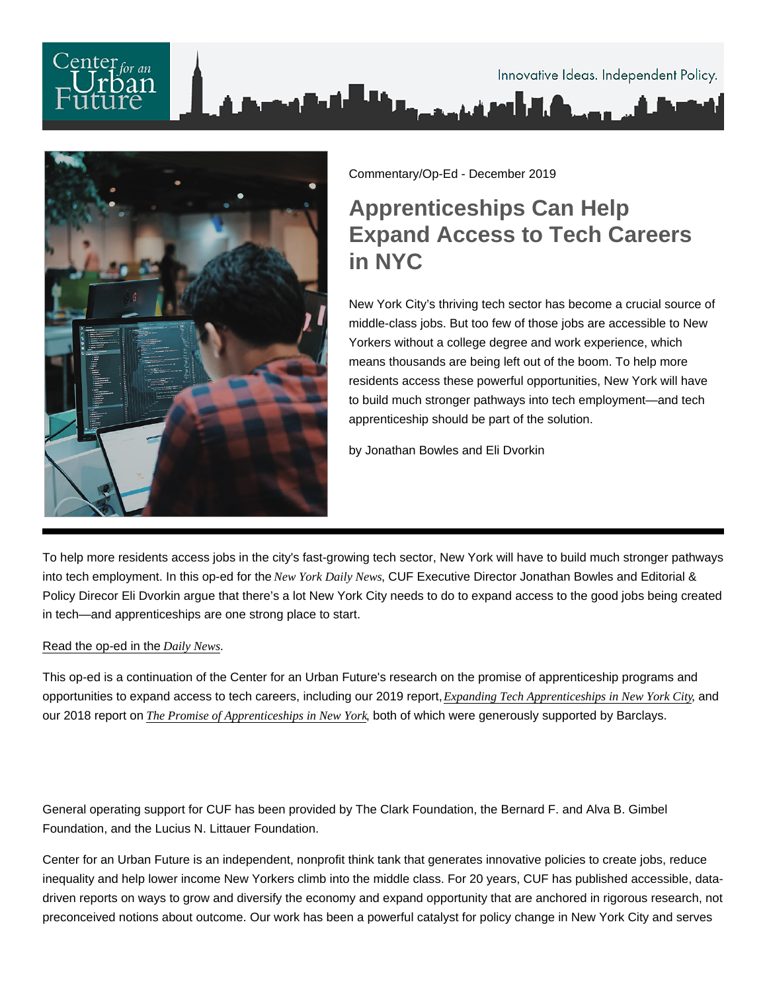

### Commentary/Op-Ed - December 2019

# Apprenticeships Can Help Expand Access to Tech Careers in NYC

New York City's thriving tech sector has become a crucial source of middle-class jobs. But too few of those jobs are accessible to New Yorkers without a college degree and work experience, which means thousands are being left out of the boom. To help more residents access these powerful opportunities, New York will have to build much stronger pathways into tech employment—and tech apprenticeship should be part of the solution.

by Jonathan Bowles and Eli Dvorkin

To help more residents access jobs in the city's fast-growing tech sector, New York will have to build much stronger pathways into tech employment. In this op-ed for the New York Daily NewsCUF Executive Director Jonathan Bowles and Editorial & Policy Direcor Eli Dvorkin argue that there's a lot New York City needs to do to expand access to the good jobs being created in tech—and apprenticeships are one strong place to start.

## [Read the op-ed in the Daily News.](https://www.nydailynews.com/opinion/ny-oped-tech-job-access-for-all-20191230-wpjhk5t4xvfjvacjxgnoecyxwm-story.html)

This op-ed is a continuation of the Center for an Urban Future's research on the promise of apprenticeship programs and opportunities to expand access to tech careers, including our 2019 report, [Expanding Tech Apprenticeships in New York](https://nycfuture.org/research/expanding-tech-apprenticeships-in-new-york-city), Gityd our 2018 report on [The Promise of Apprenticeships in New Y](https://nycfuture.org/research/the-promise-of-apprenticeships-in-new-york)bdth of which were generously supported by Barclays.

General operating support for CUF has been provided by The Clark Foundation, the Bernard F. and Alva B. Gimbel Foundation, and the Lucius N. Littauer Foundation.

Center for an Urban Future is an independent, nonprofit think tank that generates innovative policies to create jobs, reduce inequality and help lower income New Yorkers climb into the middle class. For 20 years, CUF has published accessible, datadriven reports on ways to grow and diversify the economy and expand opportunity that are anchored in rigorous research, not preconceived notions about outcome. Our work has been a powerful catalyst for policy change in New York City and serves